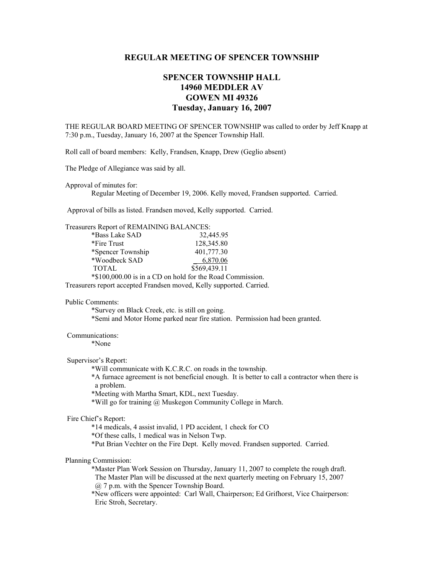## **REGULAR MEETING OF SPENCER TOWNSHIP**

# **SPENCER TOWNSHIP HALL 14960 MEDDLER AV GOWEN MI 49326 Tuesday, January 16, 2007**

THE REGULAR BOARD MEETING OF SPENCER TOWNSHIP was called to order by Jeff Knapp at 7:30 p.m., Tuesday, January 16, 2007 at the Spencer Township Hall.

Roll call of board members: Kelly, Frandsen, Knapp, Drew (Geglio absent)

The Pledge of Allegiance was said by all.

Approval of minutes for:

Regular Meeting of December 19, 2006. Kelly moved, Frandsen supported. Carried.

Approval of bills as listed. Frandsen moved, Kelly supported. Carried.

| Treasurers Report of REMAINING BALANCES:                  |              |
|-----------------------------------------------------------|--------------|
| *Bass Lake SAD                                            | 32,445.95    |
| *Fire Trust                                               | 128,345.80   |
| *Spencer Township                                         | 401,777.30   |
| *Woodbeck SAD                                             | 6,870.06     |
| <b>TOTAL</b>                                              | \$569,439.11 |
| *\$100,000.00 is in a CD on hold for the Road Commission. |              |

Treasurers report accepted Frandsen moved, Kelly supported. Carried.

#### Public Comments:

 \*Survey on Black Creek, etc. is still on going. \*Semi and Motor Home parked near fire station. Permission had been granted.

#### Communications:

\*None

#### Supervisor's Report:

\*Will communicate with K.C.R.C. on roads in the township.

 \*A furnace agreement is not beneficial enough. It is better to call a contractor when there is a problem.

\*Meeting with Martha Smart, KDL, next Tuesday.

\*Will go for training @ Muskegon Community College in March.

### Fire Chief's Report:

\*14 medicals, 4 assist invalid, 1 PD accident, 1 check for CO

\*Of these calls, 1 medical was in Nelson Twp.

\*Put Brian Vechter on the Fire Dept. Kelly moved. Frandsen supported. Carried.

#### Planning Commission:

\*Master Plan Work Session on Thursday, January 11, 2007 to complete the rough draft. The Master Plan will be discussed at the next quarterly meeting on February 15, 2007 @ 7 p.m. with the Spencer Township Board.

\*New officers were appointed: Carl Wall, Chairperson; Ed Grifhorst, Vice Chairperson: Eric Stroh, Secretary.